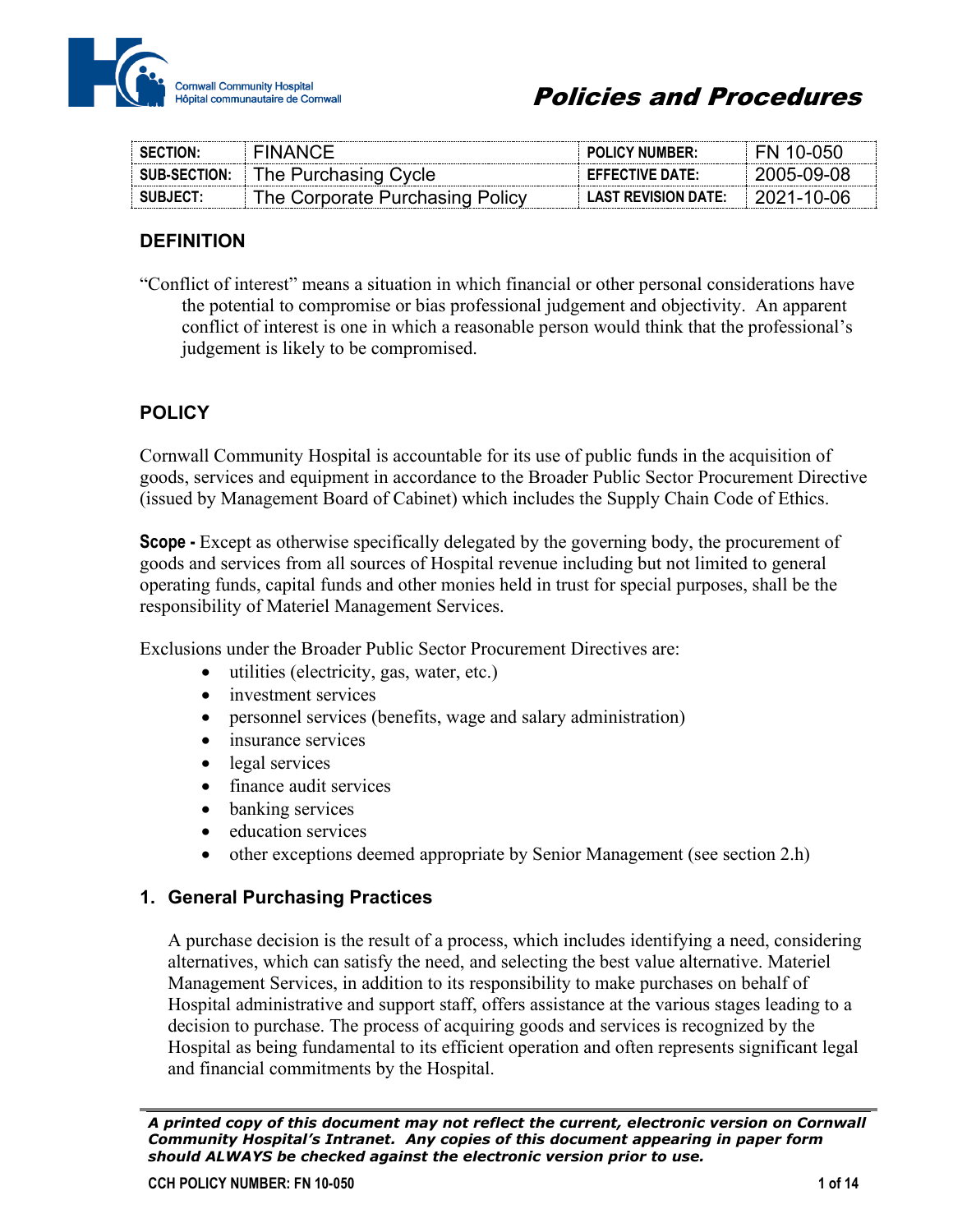

| <b>SECTION:</b>     | FINANC:F                        | <b>POLICY NUMBER:</b>      | 10-050      |
|---------------------|---------------------------------|----------------------------|-------------|
| <b>SUB-SECTION:</b> | The Purchasing Cycle            | <b>EFFECTIVE DATE:</b>     | -2005-09-08 |
| SUBJECT:            | The Corporate Purchasing Policy | <b>LAST REVISION DATE:</b> |             |

### **DEFINITION**

"Conflict of interest" means a situation in which financial or other personal considerations have the potential to compromise or bias professional judgement and objectivity. An apparent conflict of interest is one in which a reasonable person would think that the professional's judgement is likely to be compromised.

# **POLICY**

Cornwall Community Hospital is accountable for its use of public funds in the acquisition of goods, services and equipment in accordance to the Broader Public Sector Procurement Directive (issued by Management Board of Cabinet) which includes the Supply Chain Code of Ethics.

**Scope -** Except as otherwise specifically delegated by the governing body, the procurement of goods and services from all sources of Hospital revenue including but not limited to general operating funds, capital funds and other monies held in trust for special purposes, shall be the responsibility of Materiel Management Services.

Exclusions under the Broader Public Sector Procurement Directives are:

- utilities (electricity, gas, water, etc.)
- investment services
- personnel services (benefits, wage and salary administration)
- insurance services
- legal services
- finance audit services
- banking services
- education services
- other exceptions deemed appropriate by Senior Management (see section 2.h)

#### **1. General Purchasing Practices**

A purchase decision is the result of a process, which includes identifying a need, considering alternatives, which can satisfy the need, and selecting the best value alternative. Materiel Management Services, in addition to its responsibility to make purchases on behalf of Hospital administrative and support staff, offers assistance at the various stages leading to a decision to purchase. The process of acquiring goods and services is recognized by the Hospital as being fundamental to its efficient operation and often represents significant legal and financial commitments by the Hospital.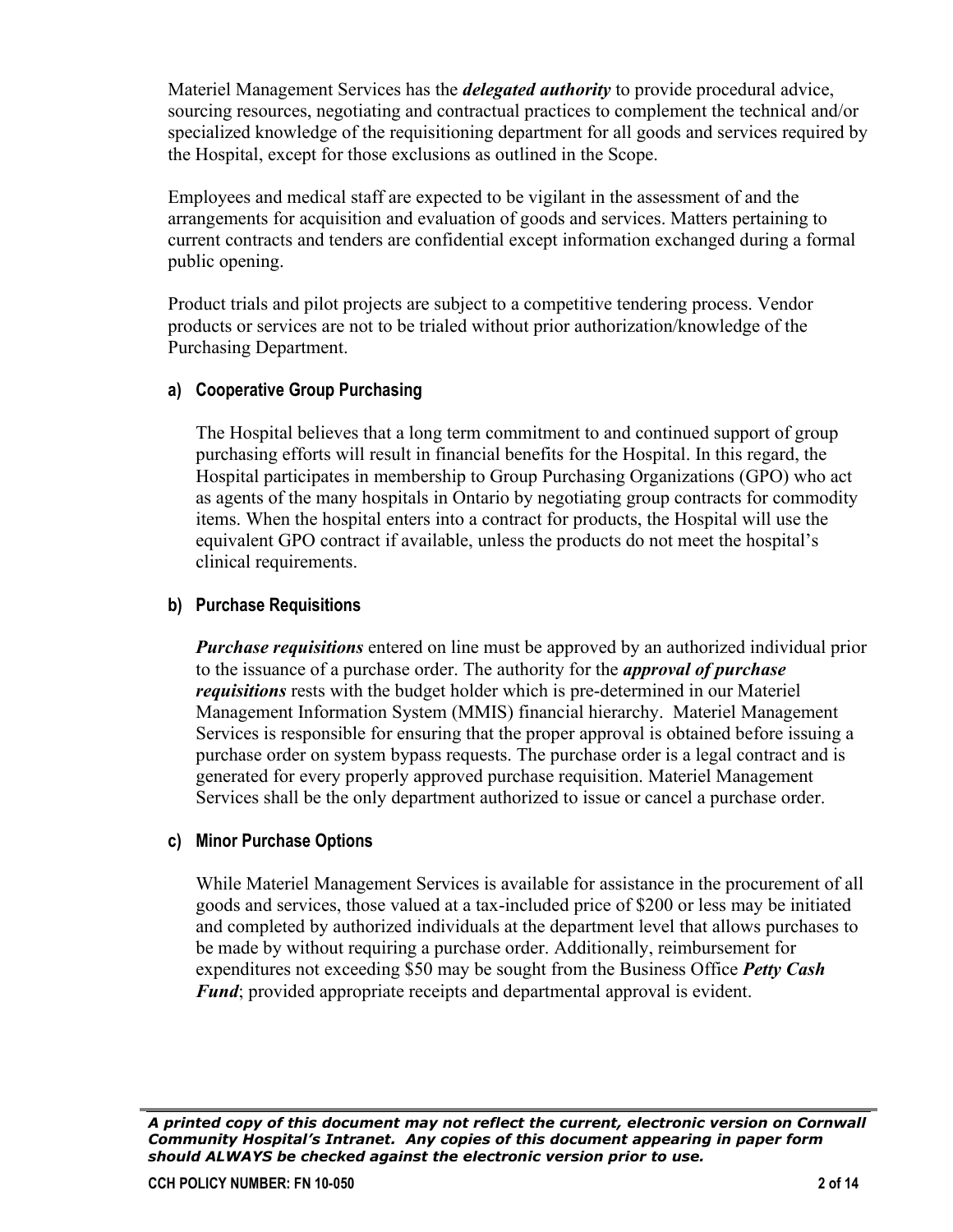Materiel Management Services has the *delegated authority* to provide procedural advice, sourcing resources, negotiating and contractual practices to complement the technical and/or specialized knowledge of the requisitioning department for all goods and services required by the Hospital, except for those exclusions as outlined in the Scope.

Employees and medical staff are expected to be vigilant in the assessment of and the arrangements for acquisition and evaluation of goods and services. Matters pertaining to current contracts and tenders are confidential except information exchanged during a formal public opening.

Product trials and pilot projects are subject to a competitive tendering process. Vendor products or services are not to be trialed without prior authorization/knowledge of the Purchasing Department.

#### **a) Cooperative Group Purchasing**

The Hospital believes that a long term commitment to and continued support of group purchasing efforts will result in financial benefits for the Hospital. In this regard, the Hospital participates in membership to Group Purchasing Organizations (GPO) who act as agents of the many hospitals in Ontario by negotiating group contracts for commodity items. When the hospital enters into a contract for products, the Hospital will use the equivalent GPO contract if available, unless the products do not meet the hospital's clinical requirements.

#### **b) Purchase Requisitions**

*Purchase requisitions* entered on line must be approved by an authorized individual prior to the issuance of a purchase order. The authority for the *approval of purchase requisitions* rests with the budget holder which is pre-determined in our Materiel Management Information System (MMIS) financial hierarchy. Materiel Management Services is responsible for ensuring that the proper approval is obtained before issuing a purchase order on system bypass requests. The purchase order is a legal contract and is generated for every properly approved purchase requisition. Materiel Management Services shall be the only department authorized to issue or cancel a purchase order.

#### **c) Minor Purchase Options**

While Materiel Management Services is available for assistance in the procurement of all goods and services, those valued at a tax-included price of \$200 or less may be initiated and completed by authorized individuals at the department level that allows purchases to be made by without requiring a purchase order. Additionally, reimbursement for expenditures not exceeding \$50 may be sought from the Business Office *Petty Cash Fund*; provided appropriate receipts and departmental approval is evident.

*A printed copy of this document may not reflect the current, electronic version on Cornwall Community Hospital's Intranet. Any copies of this document appearing in paper form should ALWAYS be checked against the electronic version prior to use.*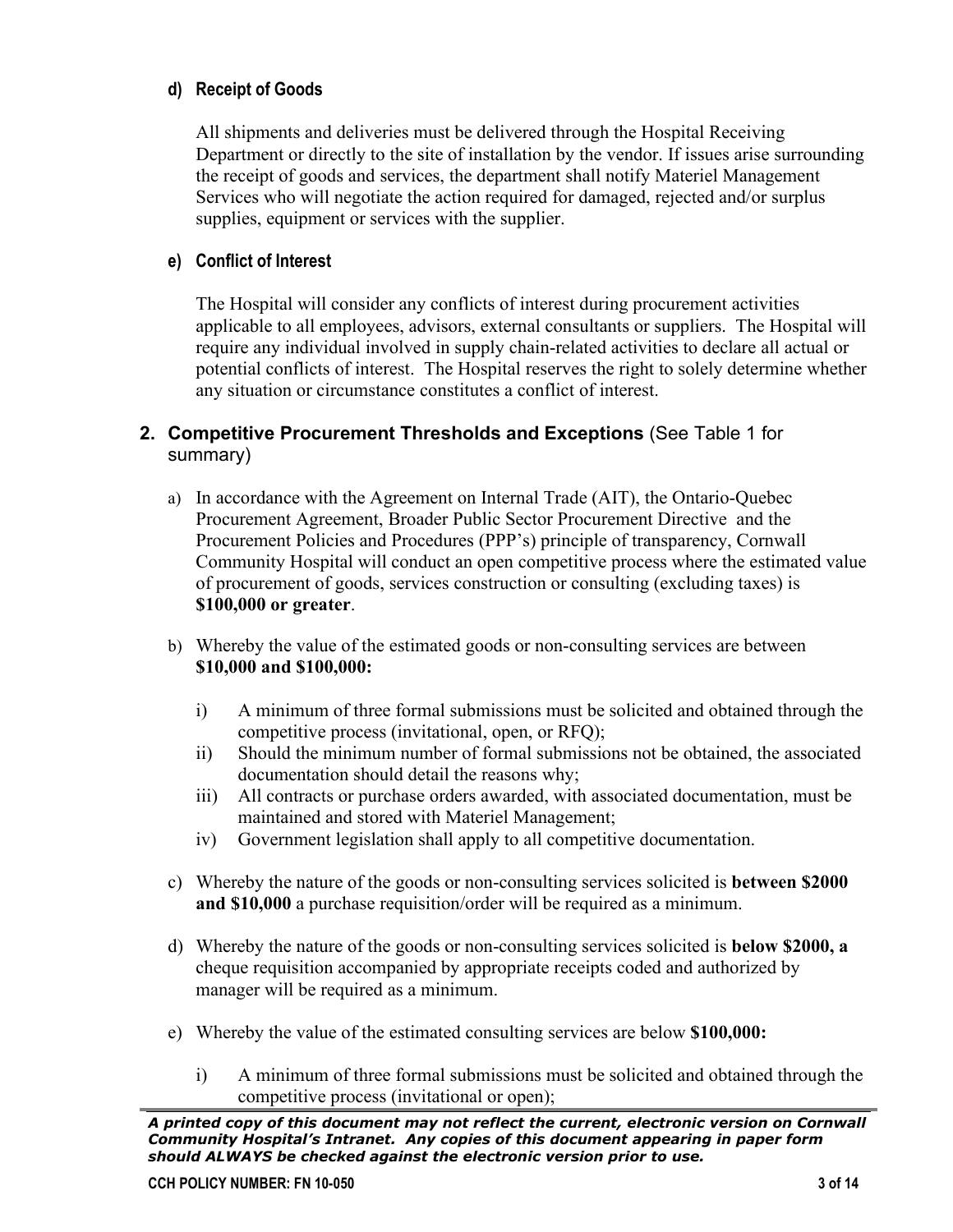#### **d) Receipt of Goods**

All shipments and deliveries must be delivered through the Hospital Receiving Department or directly to the site of installation by the vendor. If issues arise surrounding the receipt of goods and services, the department shall notify Materiel Management Services who will negotiate the action required for damaged, rejected and/or surplus supplies, equipment or services with the supplier.

#### **e) Conflict of Interest**

The Hospital will consider any conflicts of interest during procurement activities applicable to all employees, advisors, external consultants or suppliers. The Hospital will require any individual involved in supply chain-related activities to declare all actual or potential conflicts of interest. The Hospital reserves the right to solely determine whether any situation or circumstance constitutes a conflict of interest.

### **2. Competitive Procurement Thresholds and Exceptions** (See Table 1 for summary)

- a) In accordance with the Agreement on Internal Trade (AIT), the Ontario-Quebec Procurement Agreement, Broader Public Sector Procurement Directive and the [Procurement Policies and Procedures](http://www.fin.gov.on.ca/en/ontariobuys/documents/scg.html#sec222#sec222) (PPP's) principle of transparency, Cornwall Community Hospital will conduct an open competitive process where the estimated value of procurement of goods, services construction or consulting (excluding taxes) is **\$100,000 or greater**.
- b) Whereby the value of the estimated goods or non-consulting services are between **\$10,000 and \$100,000:**
	- i) A minimum of three formal submissions must be solicited and obtained through the competitive process (invitational, open, or RFQ);
	- ii) Should the minimum number of formal submissions not be obtained, the associated documentation should detail the reasons why;
	- iii) All contracts or purchase orders awarded, with associated documentation, must be maintained and stored with Materiel Management;
	- iv) Government legislation shall apply to all competitive documentation.
- c) Whereby the nature of the goods or non-consulting services solicited is **between \$2000 and \$10,000** a purchase requisition/order will be required as a minimum.
- d) Whereby the nature of the goods or non-consulting services solicited is **below \$2000, a** cheque requisition accompanied by appropriate receipts coded and authorized by manager will be required as a minimum.
- e) Whereby the value of the estimated consulting services are below **\$100,000:**
	- i) A minimum of three formal submissions must be solicited and obtained through the competitive process (invitational or open);

*A printed copy of this document may not reflect the current, electronic version on Cornwall Community Hospital's Intranet. Any copies of this document appearing in paper form should ALWAYS be checked against the electronic version prior to use.*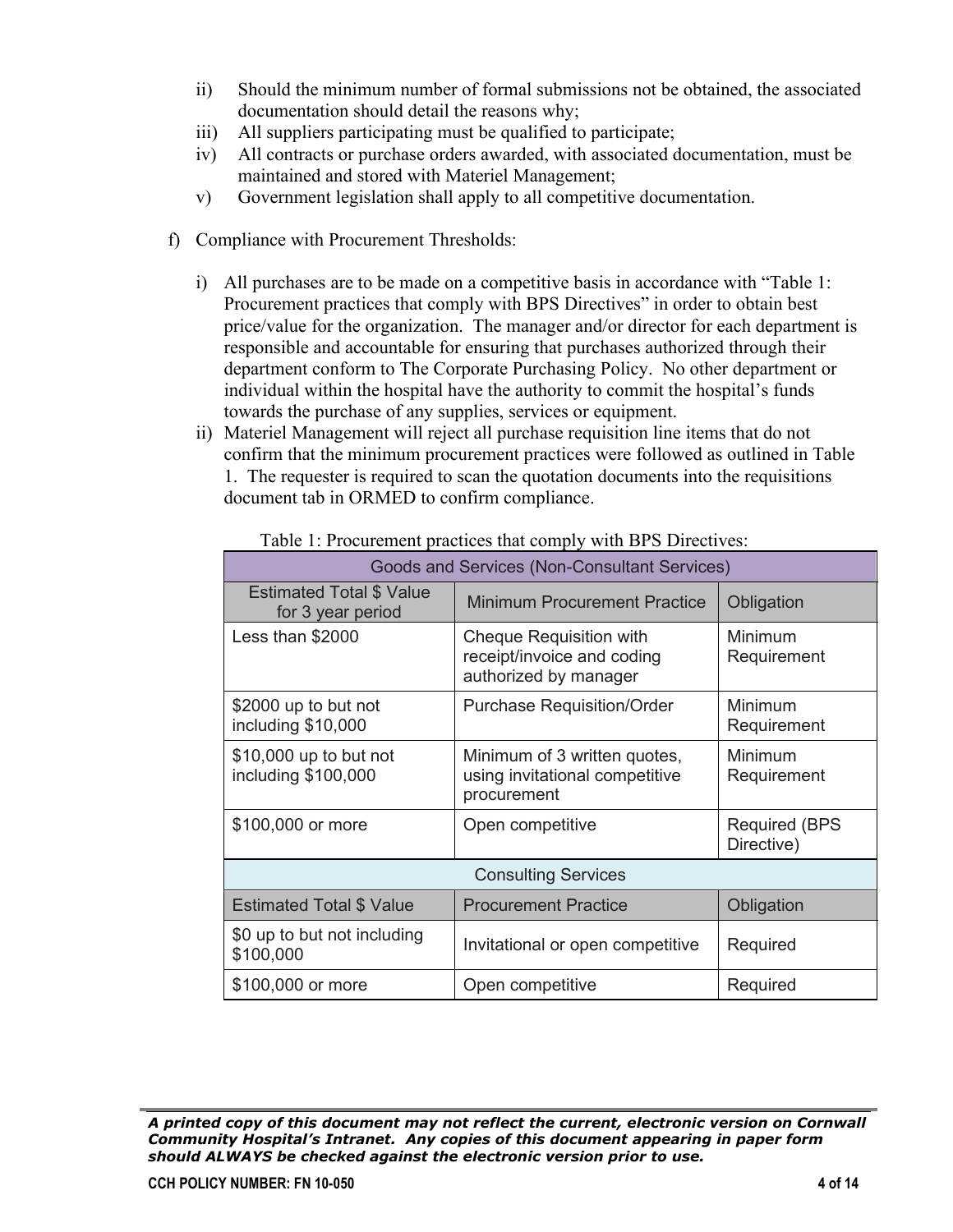- ii) Should the minimum number of formal submissions not be obtained, the associated documentation should detail the reasons why;
- iii) All suppliers participating must be qualified to participate;
- iv) All contracts or purchase orders awarded, with associated documentation, must be maintained and stored with Materiel Management;
- v) Government legislation shall apply to all competitive documentation.
- f) Compliance with Procurement Thresholds:
	- i) All purchases are to be made on a competitive basis in accordance with "Table 1: Procurement practices that comply with BPS Directives" in order to obtain best price/value for the organization. The manager and/or director for each department is responsible and accountable for ensuring that purchases authorized through their department conform to The Corporate Purchasing Policy. No other department or individual within the hospital have the authority to commit the hospital's funds towards the purchase of any supplies, services or equipment.
	- ii) Materiel Management will reject all purchase requisition line items that do not confirm that the minimum procurement practices were followed as outlined in Table 1. The requester is required to scan the quotation documents into the requisitions document tab in ORMED to confirm compliance.

| radio 1. I foculentem praetices that comply with Dr 5 Directives. |                                                                                       |                                     |  |  |  |
|-------------------------------------------------------------------|---------------------------------------------------------------------------------------|-------------------------------------|--|--|--|
| Goods and Services (Non-Consultant Services)                      |                                                                                       |                                     |  |  |  |
| <b>Estimated Total \$ Value</b><br>for 3 year period              | <b>Minimum Procurement Practice</b>                                                   | Obligation                          |  |  |  |
| Less than \$2000                                                  | <b>Cheque Requisition with</b><br>receipt/invoice and coding<br>authorized by manager | Minimum<br>Requirement              |  |  |  |
| \$2000 up to but not<br>including \$10,000                        | <b>Purchase Requisition/Order</b>                                                     | Minimum<br>Requirement              |  |  |  |
| \$10,000 up to but not<br>including \$100,000                     | Minimum of 3 written quotes,<br>using invitational competitive<br>procurement         | Minimum<br>Requirement              |  |  |  |
| \$100,000 or more                                                 | Open competitive                                                                      | <b>Required (BPS)</b><br>Directive) |  |  |  |
| <b>Consulting Services</b>                                        |                                                                                       |                                     |  |  |  |
| <b>Estimated Total \$ Value</b>                                   | <b>Procurement Practice</b>                                                           | Obligation                          |  |  |  |
| \$0 up to but not including<br>\$100,000                          | Invitational or open competitive                                                      | Required                            |  |  |  |
| \$100,000 or more                                                 | Open competitive                                                                      | Required                            |  |  |  |

Table 1: Procurement practices that comply with BPS Directives:

*A printed copy of this document may not reflect the current, electronic version on Cornwall Community Hospital's Intranet. Any copies of this document appearing in paper form should ALWAYS be checked against the electronic version prior to use.*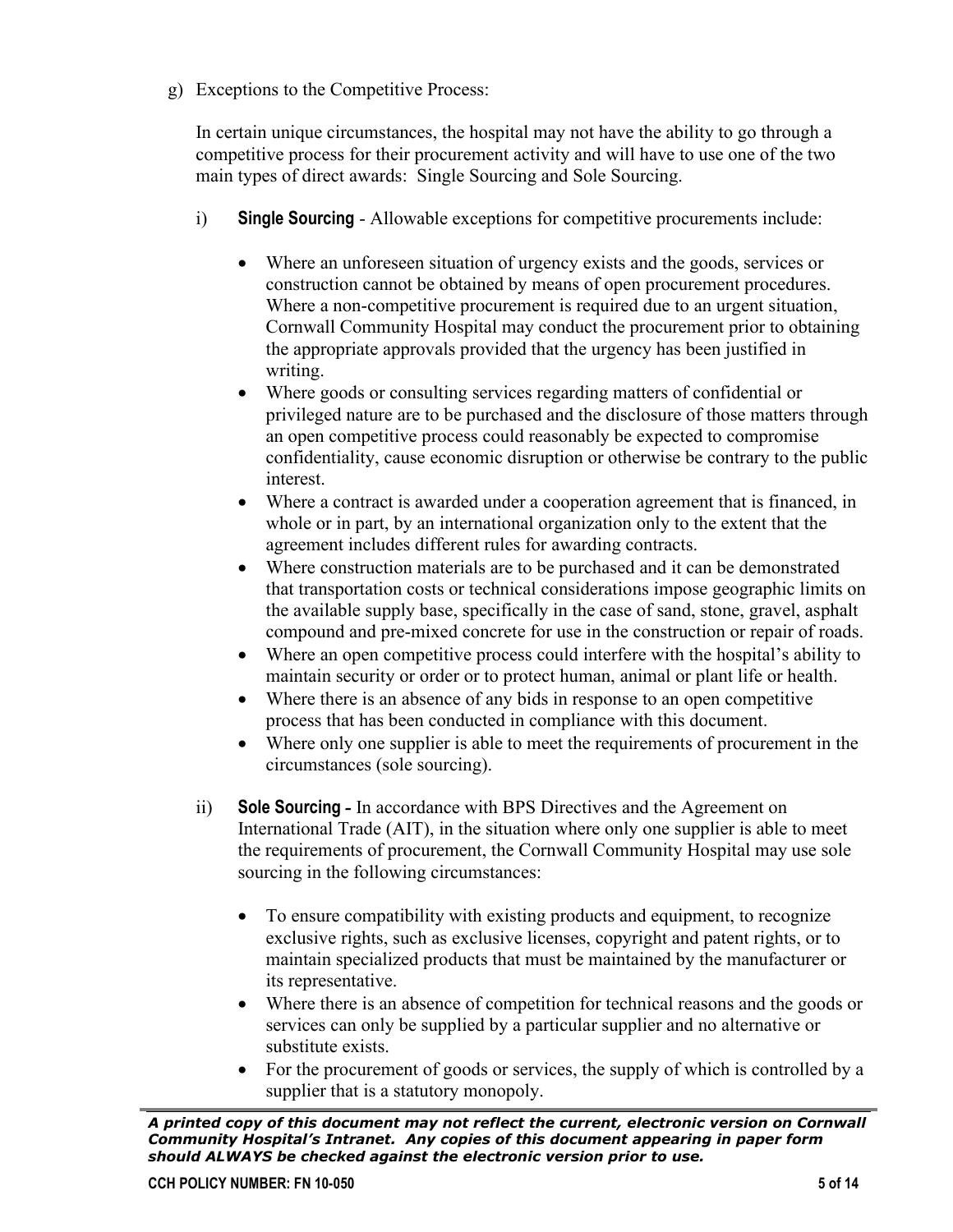g) Exceptions to the Competitive Process:

In certain unique circumstances, the hospital may not have the ability to go through a competitive process for their procurement activity and will have to use one of the two main types of direct awards: Single Sourcing and Sole Sourcing.

- i) **Single Sourcing** Allowable exceptions for competitive procurements include:
	- Where an unforeseen situation of urgency exists and the goods, services or construction cannot be obtained by means of open procurement procedures. Where a non-competitive procurement is required due to an urgent situation, Cornwall Community Hospital may conduct the procurement prior to obtaining the appropriate approvals provided that the urgency has been justified in writing.
	- Where goods or consulting services regarding matters of confidential or privileged nature are to be purchased and the disclosure of those matters through an open competitive process could reasonably be expected to compromise confidentiality, cause economic disruption or otherwise be contrary to the public interest.
	- Where a contract is awarded under a cooperation agreement that is financed, in whole or in part, by an international organization only to the extent that the agreement includes different rules for awarding contracts.
	- Where construction materials are to be purchased and it can be demonstrated that transportation costs or technical considerations impose geographic limits on the available supply base, specifically in the case of sand, stone, gravel, asphalt compound and pre-mixed concrete for use in the construction or repair of roads.
	- Where an open competitive process could interfere with the hospital's ability to maintain security or order or to protect human, animal or plant life or health.
	- Where there is an absence of any bids in response to an open competitive process that has been conducted in compliance with this document.
	- Where only one supplier is able to meet the requirements of procurement in the circumstances (sole sourcing).
- ii) **Sole Sourcing** *-* In accordance with BPS Directives and the Agreement on International Trade (AIT), in the situation where only one supplier is able to meet the requirements of procurement, the Cornwall Community Hospital may use sole sourcing in the following circumstances:
	- To ensure compatibility with existing products and equipment, to recognize exclusive rights, such as exclusive licenses, copyright and patent rights, or to maintain specialized products that must be maintained by the manufacturer or its representative.
	- Where there is an absence of competition for technical reasons and the goods or services can only be supplied by a particular supplier and no alternative or substitute exists.
	- For the procurement of goods or services, the supply of which is controlled by a supplier that is a statutory monopoly.

*A printed copy of this document may not reflect the current, electronic version on Cornwall Community Hospital's Intranet. Any copies of this document appearing in paper form should ALWAYS be checked against the electronic version prior to use.*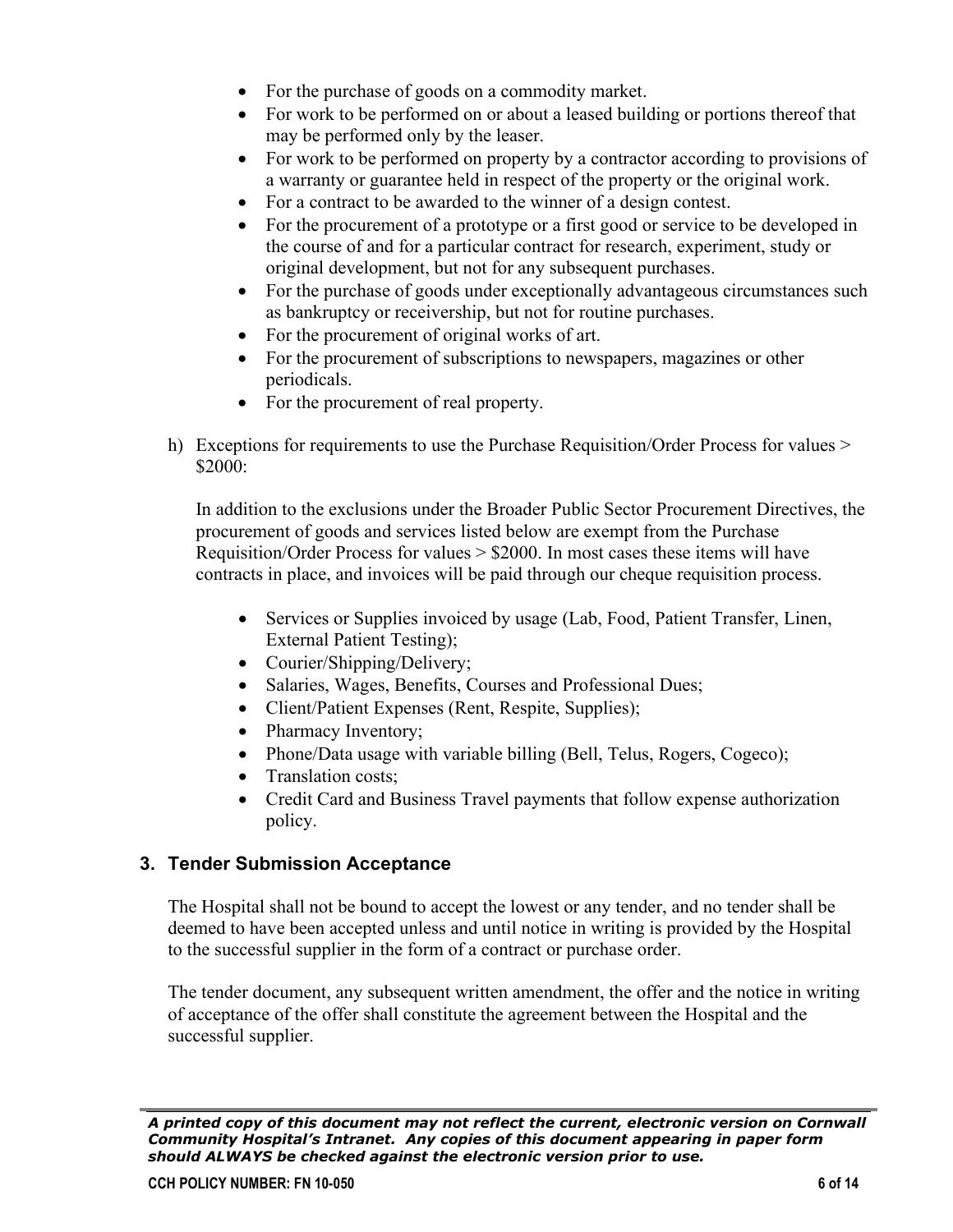- For the purchase of goods on a commodity market.
- For work to be performed on or about a leased building or portions thereof that may be performed only by the leaser.
- For work to be performed on property by a contractor according to provisions of a warranty or guarantee held in respect of the property or the original work.
- For a contract to be awarded to the winner of a design contest.
- For the procurement of a prototype or a first good or service to be developed in the course of and for a particular contract for research, experiment, study or original development, but not for any subsequent purchases.
- For the purchase of goods under exceptionally advantageous circumstances such as bankruptcy or receivership, but not for routine purchases.
- For the procurement of original works of art.
- For the procurement of subscriptions to newspapers, magazines or other periodicals.
- For the procurement of real property.
- h) Exceptions for requirements to use the Purchase Requisition/Order Process for values > \$2000:

In addition to the exclusions under the Broader Public Sector Procurement Directives, the procurement of goods and services listed below are exempt from the Purchase Requisition/Order Process for values > \$2000. In most cases these items will have contracts in place, and invoices will be paid through our cheque requisition process.

- Services or Supplies invoiced by usage (Lab, Food, Patient Transfer, Linen, External Patient Testing);
- Courier/Shipping/Delivery;
- Salaries, Wages, Benefits, Courses and Professional Dues;
- Client/Patient Expenses (Rent, Respite, Supplies);
- Pharmacy Inventory;
- Phone/Data usage with variable billing (Bell, Telus, Rogers, Cogeco);
- Translation costs;
- Credit Card and Business Travel payments that follow expense authorization policy.

## **3. Tender Submission Acceptance**

The Hospital shall not be bound to accept the lowest or any tender, and no tender shall be deemed to have been accepted unless and until notice in writing is provided by the Hospital to the successful supplier in the form of a contract or purchase order.

The tender document, any subsequent written amendment, the offer and the notice in writing of acceptance of the offer shall constitute the agreement between the Hospital and the successful supplier.

*A printed copy of this document may not reflect the current, electronic version on Cornwall Community Hospital's Intranet. Any copies of this document appearing in paper form should ALWAYS be checked against the electronic version prior to use.*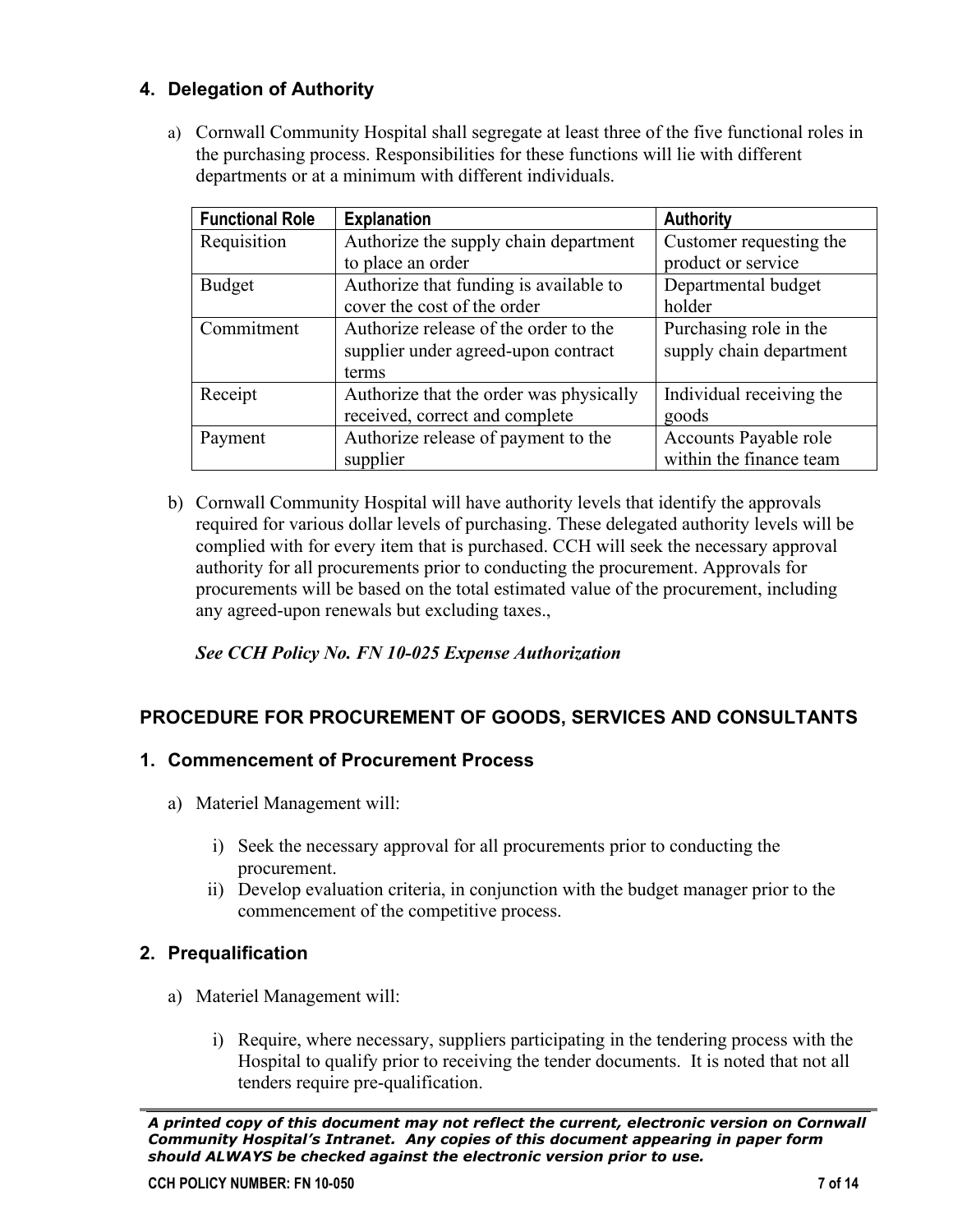## **4. Delegation of Authority**

a) Cornwall Community Hospital shall segregate at least three of the five functional roles in the purchasing process. Responsibilities for these functions will lie with different departments or at a minimum with different individuals.

| <b>Functional Role</b> | <b>Explanation</b>                      | <b>Authority</b>         |
|------------------------|-----------------------------------------|--------------------------|
| Requisition            | Authorize the supply chain department   | Customer requesting the  |
|                        | to place an order                       | product or service       |
| <b>Budget</b>          | Authorize that funding is available to  | Departmental budget      |
|                        | cover the cost of the order             | holder                   |
| Commitment             | Authorize release of the order to the   | Purchasing role in the   |
|                        | supplier under agreed-upon contract     | supply chain department  |
|                        | terms                                   |                          |
| Receipt                | Authorize that the order was physically | Individual receiving the |
|                        | received, correct and complete          | goods                    |
| Payment                | Authorize release of payment to the     | Accounts Payable role    |
|                        | supplier                                | within the finance team  |

b) Cornwall Community Hospital will have authority levels that identify the approvals required for various dollar levels of purchasing. These delegated authority levels will be complied with for every item that is purchased. CCH will seek the necessary approval authority for all procurements prior to conducting the procurement. Approvals for procurements will be based on the total estimated value of the procurement, including any agreed-upon renewals but excluding taxes.,

*See CCH Policy No. FN 10-025 Expense Authorization*

# **PROCEDURE FOR PROCUREMENT OF GOODS, SERVICES AND CONSULTANTS**

## **1. Commencement of Procurement Process**

- a) Materiel Management will:
	- i) Seek the necessary approval for all procurements prior to conducting the procurement.
	- ii) Develop evaluation criteria, in conjunction with the budget manager prior to the commencement of the competitive process.

## **2. Prequalification**

- a) Materiel Management will:
	- i) Require, where necessary, suppliers participating in the tendering process with the Hospital to qualify prior to receiving the tender documents. It is noted that not all tenders require pre-qualification.

*A printed copy of this document may not reflect the current, electronic version on Cornwall Community Hospital's Intranet. Any copies of this document appearing in paper form should ALWAYS be checked against the electronic version prior to use.*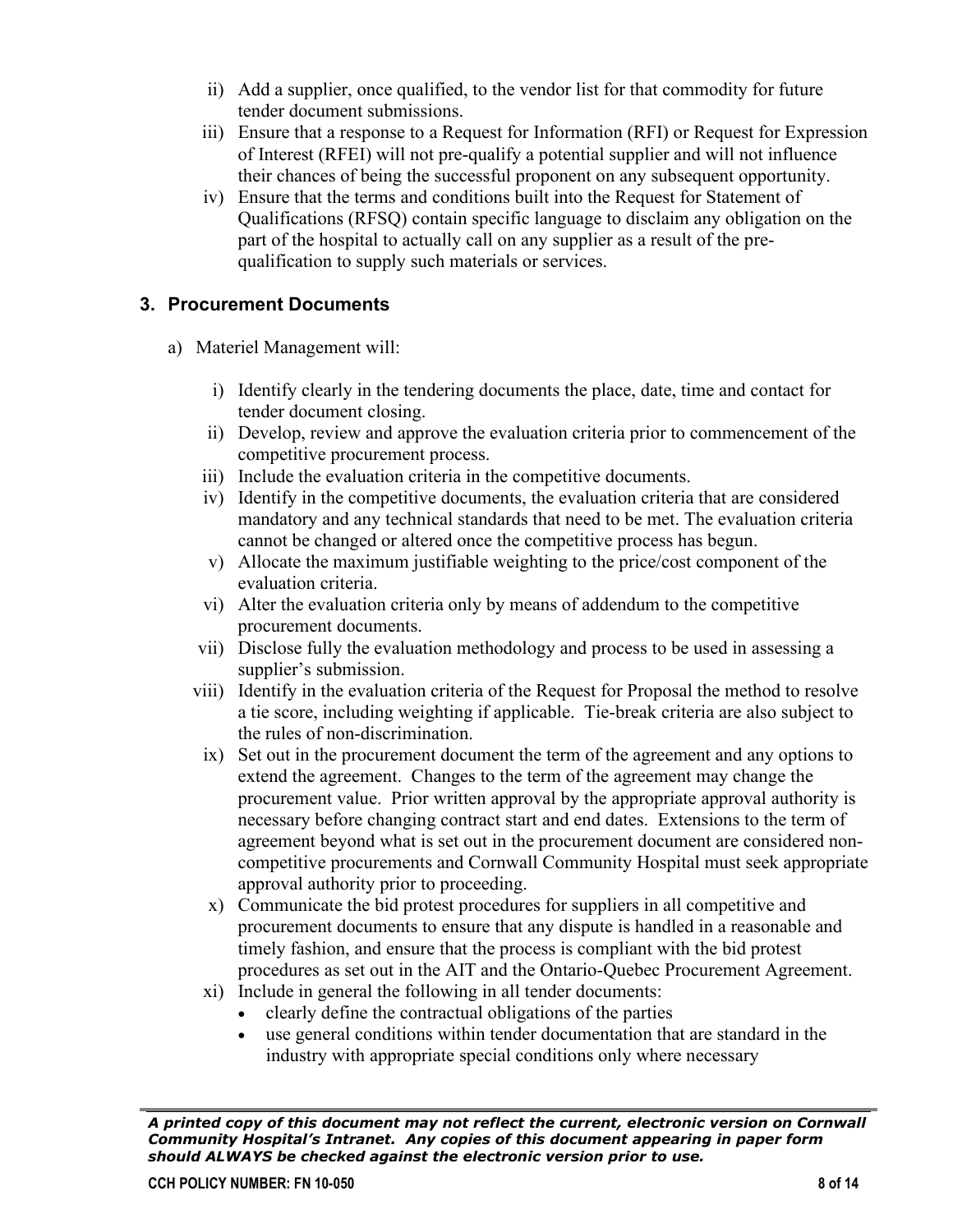- ii) Add a supplier, once qualified, to the vendor list for that commodity for future tender document submissions.
- iii) Ensure that a response to a Request for Information (RFI) or Request for Expression of Interest (RFEI) will not pre-qualify a potential supplier and will not influence their chances of being the successful proponent on any subsequent opportunity.
- iv) Ensure that the terms and conditions built into the Request for Statement of Qualifications (RFSQ) contain specific language to disclaim any obligation on the part of the hospital to actually call on any supplier as a result of the prequalification to supply such materials or services.

### **3. Procurement Documents**

- a) Materiel Management will:
	- i) Identify clearly in the tendering documents the place, date, time and contact for tender document closing.
	- ii) Develop, review and approve the evaluation criteria prior to commencement of the competitive procurement process.
	- iii) Include the evaluation criteria in the competitive documents.
	- iv) Identify in the competitive documents, the evaluation criteria that are considered mandatory and any technical standards that need to be met. The evaluation criteria cannot be changed or altered once the competitive process has begun.
	- v) Allocate the maximum justifiable weighting to the price/cost component of the evaluation criteria.
	- vi) Alter the evaluation criteria only by means of addendum to the competitive procurement documents.
	- vii) Disclose fully the evaluation methodology and process to be used in assessing a supplier's submission.
	- viii) Identify in the evaluation criteria of the Request for Proposal the method to resolve a tie score, including weighting if applicable. Tie-break criteria are also subject to the rules of non-discrimination.
	- ix) Set out in the procurement document the term of the agreement and any options to extend the agreement. Changes to the term of the agreement may change the procurement value. Prior written approval by the appropriate approval authority is necessary before changing contract start and end dates. Extensions to the term of agreement beyond what is set out in the procurement document are considered noncompetitive procurements and Cornwall Community Hospital must seek appropriate approval authority prior to proceeding.
	- x) Communicate the bid protest procedures for suppliers in all competitive and procurement documents to ensure that any dispute is handled in a reasonable and timely fashion, and ensure that the process is compliant with the bid protest procedures as set out in the AIT and the Ontario-Quebec Procurement Agreement.
	- xi) Include in general the following in all tender documents:
		- clearly define the contractual obligations of the parties
		- use general conditions within tender documentation that are standard in the industry with appropriate special conditions only where necessary

*A printed copy of this document may not reflect the current, electronic version on Cornwall Community Hospital's Intranet. Any copies of this document appearing in paper form should ALWAYS be checked against the electronic version prior to use.*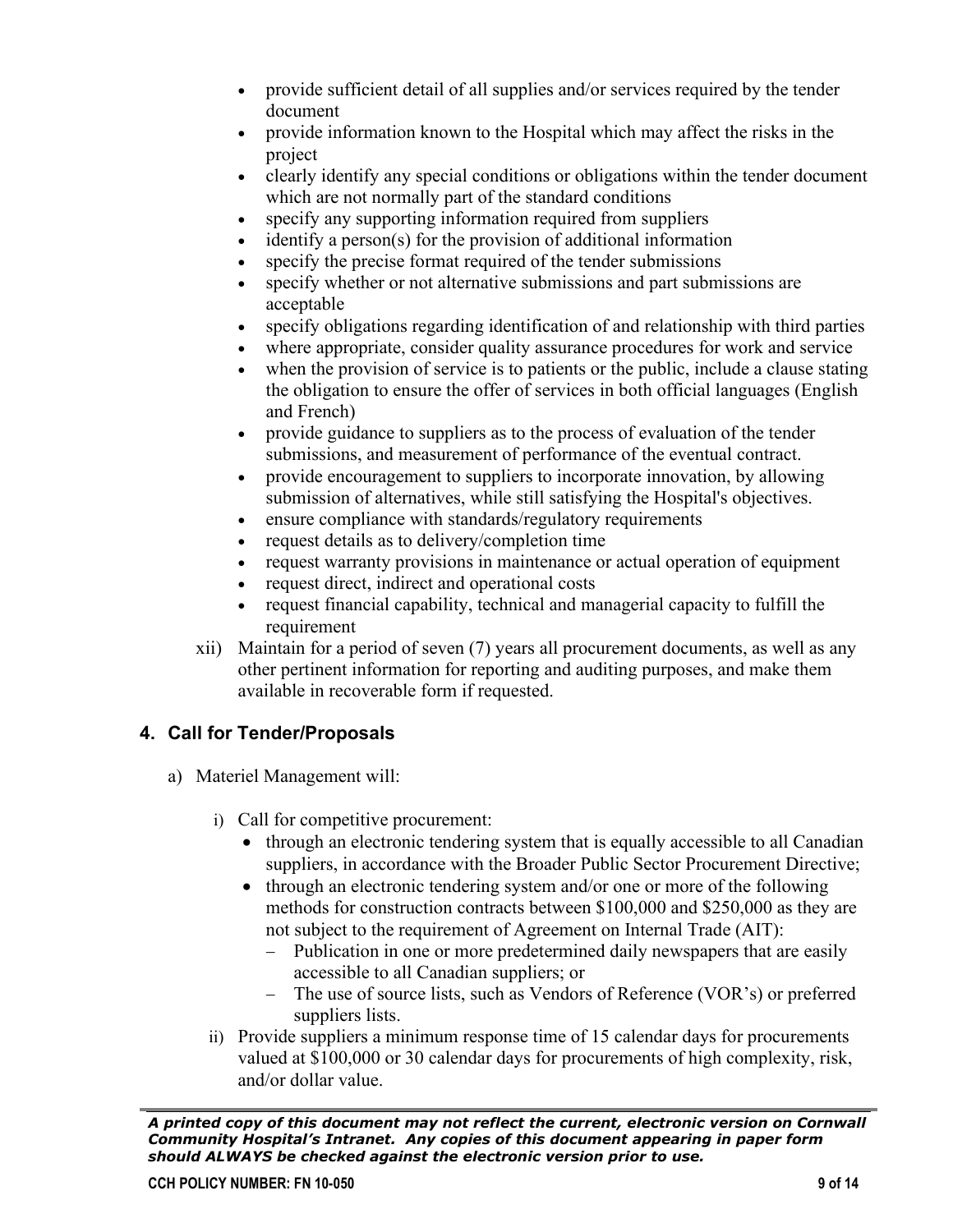- provide sufficient detail of all supplies and/or services required by the tender document
- provide information known to the Hospital which may affect the risks in the project
- clearly identify any special conditions or obligations within the tender document which are not normally part of the standard conditions
- specify any supporting information required from suppliers
- identify a person(s) for the provision of additional information
- specify the precise format required of the tender submissions
- specify whether or not alternative submissions and part submissions are acceptable
- specify obligations regarding identification of and relationship with third parties
- where appropriate, consider quality assurance procedures for work and service
- when the provision of service is to patients or the public, include a clause stating the obligation to ensure the offer of services in both official languages (English and French)
- provide guidance to suppliers as to the process of evaluation of the tender submissions, and measurement of performance of the eventual contract.
- provide encouragement to suppliers to incorporate innovation, by allowing submission of alternatives, while still satisfying the Hospital's objectives.
- ensure compliance with standards/regulatory requirements
- request details as to delivery/completion time
- request warranty provisions in maintenance or actual operation of equipment
- request direct, indirect and operational costs
- request financial capability, technical and managerial capacity to fulfill the requirement
- xii) Maintain for a period of seven (7) years all procurement documents, as well as any other pertinent information for reporting and auditing purposes, and make them available in recoverable form if requested.

## **4. Call for Tender/Proposals**

- a) Materiel Management will:
	- i) Call for competitive procurement:
		- through an electronic tendering system that is equally accessible to all Canadian suppliers, in accordance with the Broader Public Sector Procurement Directive;
		- through an electronic tendering system and/or one or more of the following methods for construction contracts between \$100,000 and \$250,000 as they are not subject to the requirement of Agreement on Internal Trade (AIT):
			- − Publication in one or more predetermined daily newspapers that are easily accessible to all Canadian suppliers; or
			- − The use of source lists, such as Vendors of Reference (VOR's) or preferred suppliers lists.
	- ii) Provide suppliers a minimum response time of 15 calendar days for procurements valued at \$100,000 or 30 calendar days for procurements of high complexity, risk, and/or dollar value.

*A printed copy of this document may not reflect the current, electronic version on Cornwall Community Hospital's Intranet. Any copies of this document appearing in paper form should ALWAYS be checked against the electronic version prior to use.*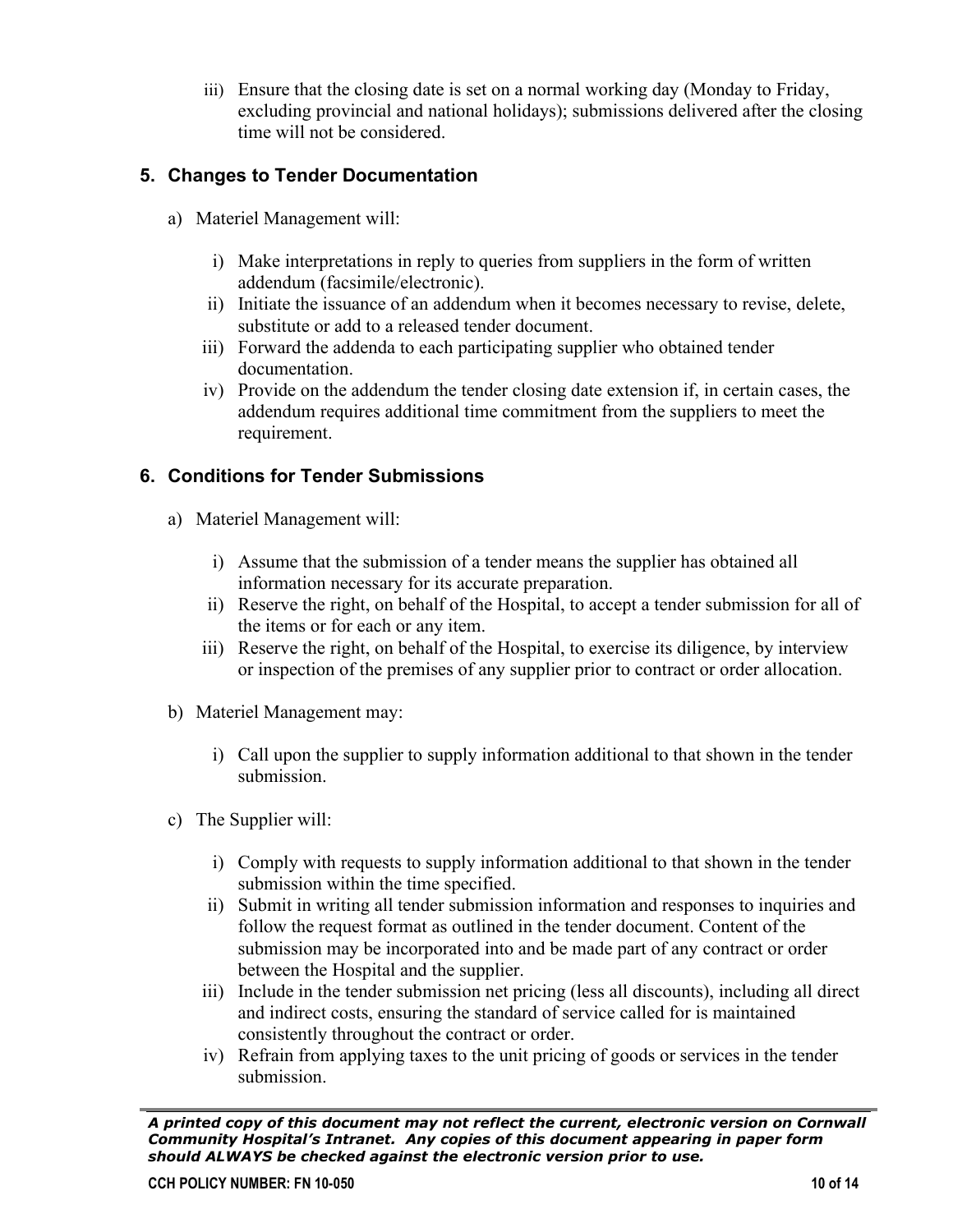iii) Ensure that the closing date is set on a normal working day (Monday to Friday, excluding provincial and national holidays); submissions delivered after the closing time will not be considered.

## **5. Changes to Tender Documentation**

- a) Materiel Management will:
	- i) Make interpretations in reply to queries from suppliers in the form of written addendum (facsimile/electronic).
	- ii) Initiate the issuance of an addendum when it becomes necessary to revise, delete, substitute or add to a released tender document.
	- iii) Forward the addenda to each participating supplier who obtained tender documentation.
	- iv) Provide on the addendum the tender closing date extension if, in certain cases, the addendum requires additional time commitment from the suppliers to meet the requirement.

# **6. Conditions for Tender Submissions**

- a) Materiel Management will:
	- i) Assume that the submission of a tender means the supplier has obtained all information necessary for its accurate preparation.
	- ii) Reserve the right, on behalf of the Hospital, to accept a tender submission for all of the items or for each or any item.
	- iii) Reserve the right, on behalf of the Hospital, to exercise its diligence, by interview or inspection of the premises of any supplier prior to contract or order allocation.
- b) Materiel Management may:
	- i) Call upon the supplier to supply information additional to that shown in the tender submission.
- c) The Supplier will:
	- i) Comply with requests to supply information additional to that shown in the tender submission within the time specified.
	- ii) Submit in writing all tender submission information and responses to inquiries and follow the request format as outlined in the tender document. Content of the submission may be incorporated into and be made part of any contract or order between the Hospital and the supplier.
	- iii) Include in the tender submission net pricing (less all discounts), including all direct and indirect costs, ensuring the standard of service called for is maintained consistently throughout the contract or order.
	- iv) Refrain from applying taxes to the unit pricing of goods or services in the tender submission.

*A printed copy of this document may not reflect the current, electronic version on Cornwall Community Hospital's Intranet. Any copies of this document appearing in paper form should ALWAYS be checked against the electronic version prior to use.*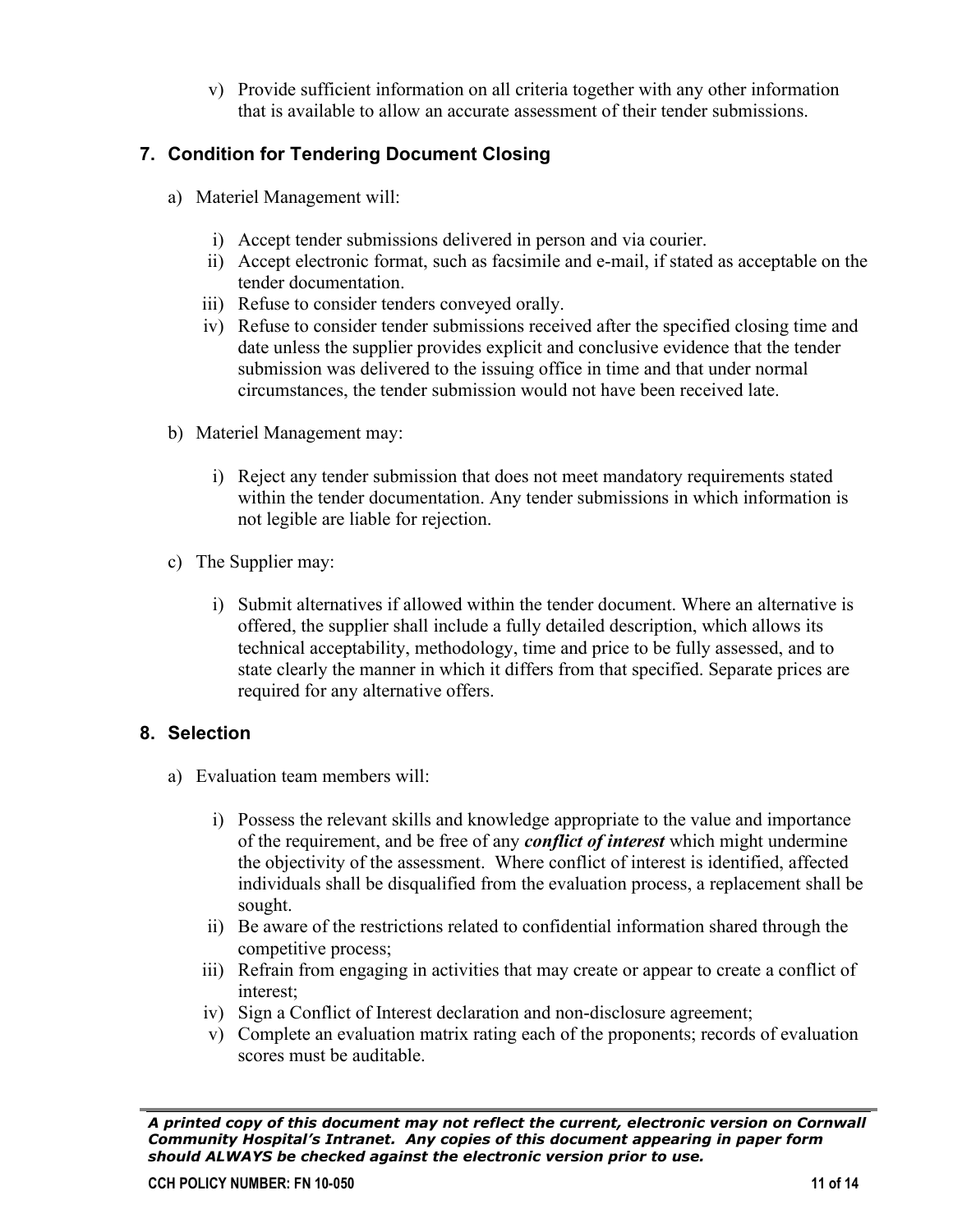v) Provide sufficient information on all criteria together with any other information that is available to allow an accurate assessment of their tender submissions.

# **7. Condition for Tendering Document Closing**

- a) Materiel Management will:
	- i) Accept tender submissions delivered in person and via courier.
	- ii) Accept electronic format, such as facsimile and e-mail, if stated as acceptable on the tender documentation.
	- iii) Refuse to consider tenders conveyed orally.
	- iv) Refuse to consider tender submissions received after the specified closing time and date unless the supplier provides explicit and conclusive evidence that the tender submission was delivered to the issuing office in time and that under normal circumstances, the tender submission would not have been received late.
- b) Materiel Management may:
	- i) Reject any tender submission that does not meet mandatory requirements stated within the tender documentation. Any tender submissions in which information is not legible are liable for rejection.
- c) The Supplier may:
	- i) Submit alternatives if allowed within the tender document. Where an alternative is offered, the supplier shall include a fully detailed description, which allows its technical acceptability, methodology, time and price to be fully assessed, and to state clearly the manner in which it differs from that specified. Separate prices are required for any alternative offers.

## **8. Selection**

- a) Evaluation team members will:
	- i) Possess the relevant skills and knowledge appropriate to the value and importance of the requirement, and be free of any *conflict of interest* which might undermine the objectivity of the assessment. Where conflict of interest is identified, affected individuals shall be disqualified from the evaluation process, a replacement shall be sought.
	- ii) Be aware of the restrictions related to confidential information shared through the competitive process;
	- iii) Refrain from engaging in activities that may create or appear to create a conflict of interest;
	- iv) Sign a Conflict of Interest declaration and non-disclosure agreement;
	- v) Complete an evaluation matrix rating each of the proponents; records of evaluation scores must be auditable.

*A printed copy of this document may not reflect the current, electronic version on Cornwall Community Hospital's Intranet. Any copies of this document appearing in paper form should ALWAYS be checked against the electronic version prior to use.*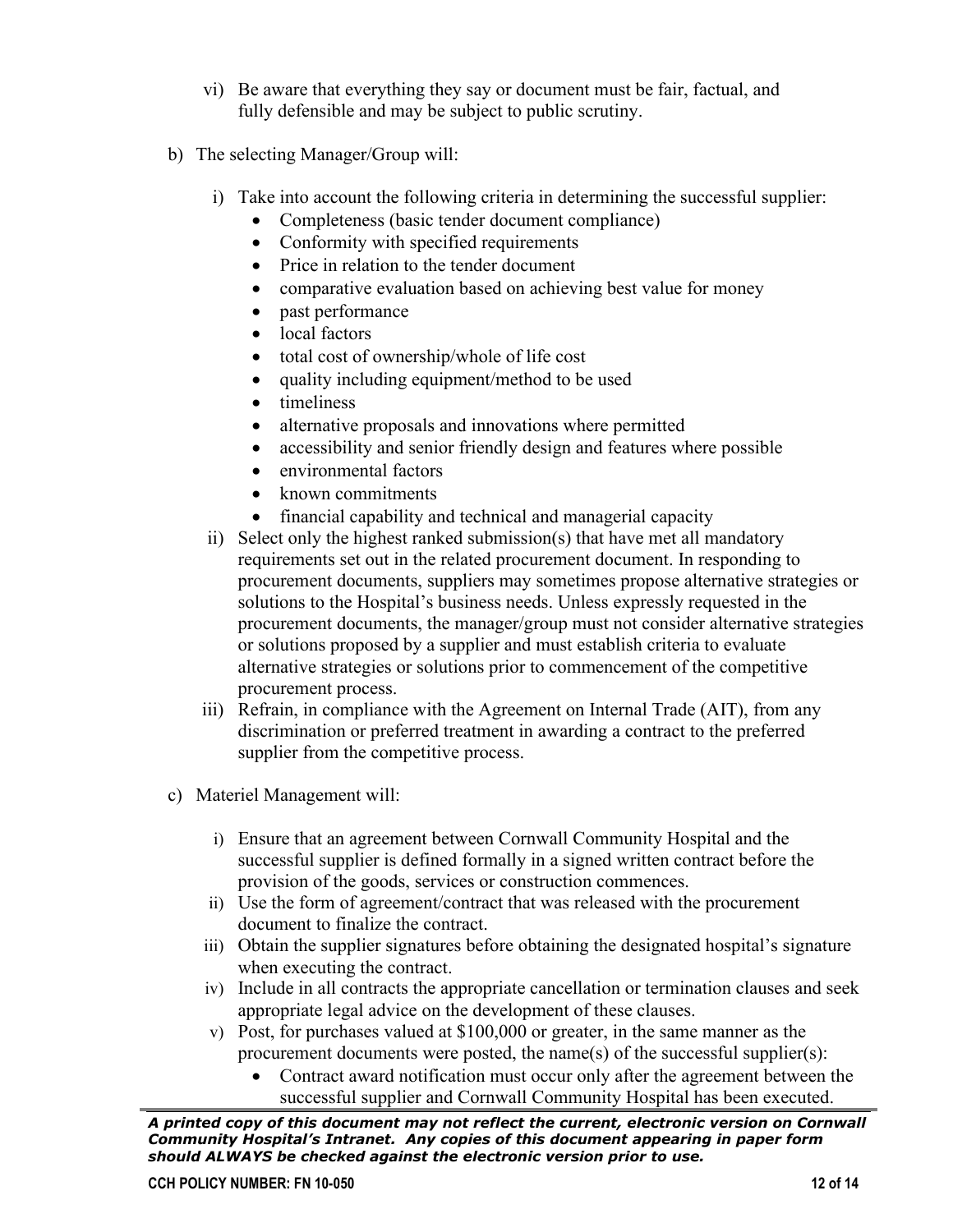- vi) Be aware that everything they say or document must be fair, factual, and fully defensible and may be subject to public scrutiny.
- b) The selecting Manager/Group will:
	- i) Take into account the following criteria in determining the successful supplier:
		- Completeness (basic tender document compliance)
		- Conformity with specified requirements
		- Price in relation to the tender document
		- comparative evaluation based on achieving best value for money
		- past performance
		- local factors
		- total cost of ownership/whole of life cost
		- quality including equipment/method to be used
		- timeliness
		- alternative proposals and innovations where permitted
		- accessibility and senior friendly design and features where possible
		- environmental factors
		- known commitments
		- financial capability and technical and managerial capacity
	- ii) Select only the highest ranked submission(s) that have met all mandatory requirements set out in the related procurement document. In responding to procurement documents, suppliers may sometimes propose alternative strategies or solutions to the Hospital's business needs. Unless expressly requested in the procurement documents, the manager/group must not consider alternative strategies or solutions proposed by a supplier and must establish criteria to evaluate alternative strategies or solutions prior to commencement of the competitive procurement process.
	- iii) Refrain, in compliance with the Agreement on Internal Trade (AIT), from any discrimination or preferred treatment in awarding a contract to the preferred supplier from the competitive process.
- c) Materiel Management will:
	- i) Ensure that an agreement between Cornwall Community Hospital and the successful supplier is defined formally in a signed written contract before the provision of the goods, services or construction commences.
	- ii) Use the form of agreement/contract that was released with the procurement document to finalize the contract.
	- iii) Obtain the supplier signatures before obtaining the designated hospital's signature when executing the contract.
	- iv) Include in all contracts the appropriate cancellation or termination clauses and seek appropriate legal advice on the development of these clauses.
	- v) Post, for purchases valued at \$100,000 or greater, in the same manner as the procurement documents were posted, the name(s) of the successful supplier(s):
		- Contract award notification must occur only after the agreement between the successful supplier and Cornwall Community Hospital has been executed.

*A printed copy of this document may not reflect the current, electronic version on Cornwall Community Hospital's Intranet. Any copies of this document appearing in paper form should ALWAYS be checked against the electronic version prior to use.*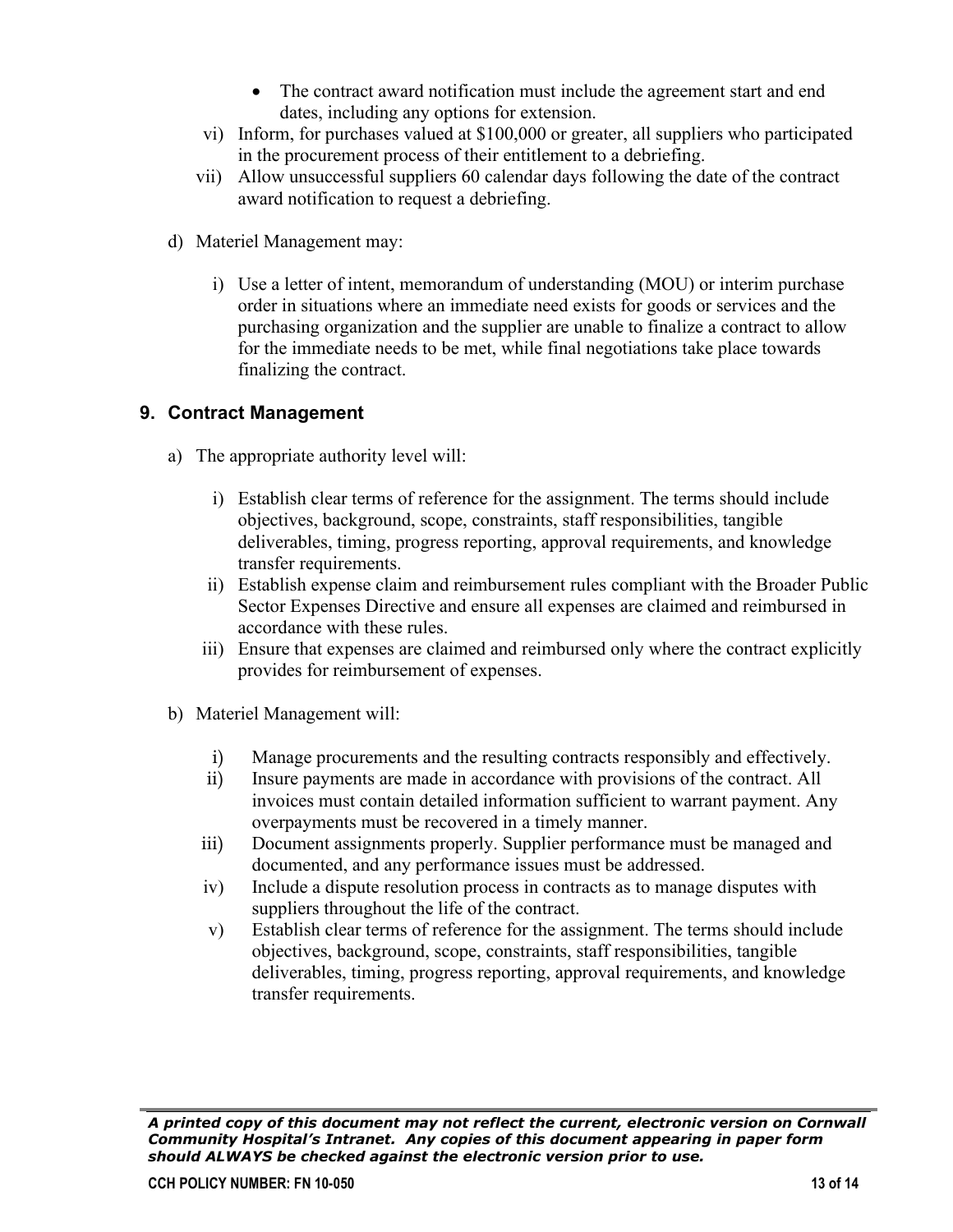- The contract award notification must include the agreement start and end dates, including any options for extension.
- vi) Inform, for purchases valued at \$100,000 or greater, all suppliers who participated in the procurement process of their entitlement to a debriefing.
- vii) Allow unsuccessful suppliers 60 calendar days following the date of the contract award notification to request a debriefing.
- d) Materiel Management may:
	- i) Use a letter of intent, memorandum of understanding (MOU) or interim purchase order in situations where an immediate need exists for goods or services and the purchasing organization and the supplier are unable to finalize a contract to allow for the immediate needs to be met, while final negotiations take place towards finalizing the contract.

## **9. Contract Management**

- a) The appropriate authority level will:
	- i) Establish clear terms of reference for the assignment. The terms should include objectives, background, scope, constraints, staff responsibilities, tangible deliverables, timing, progress reporting, approval requirements, and knowledge transfer requirements.
	- ii) Establish expense claim and reimbursement rules compliant with the Broader Public Sector Expenses Directive and ensure all expenses are claimed and reimbursed in accordance with these rules.
	- iii) Ensure that expenses are claimed and reimbursed only where the contract explicitly provides for reimbursement of expenses.
- b) Materiel Management will:
	- i) Manage procurements and the resulting contracts responsibly and effectively.
	- ii) Insure payments are made in accordance with provisions of the contract. All invoices must contain detailed information sufficient to warrant payment. Any overpayments must be recovered in a timely manner.
	- iii) Document assignments properly. Supplier performance must be managed and documented, and any performance issues must be addressed.
	- iv) Include a dispute resolution process in contracts as to manage disputes with suppliers throughout the life of the contract.
	- v) Establish clear terms of reference for the assignment. The terms should include objectives, background, scope, constraints, staff responsibilities, tangible deliverables, timing, progress reporting, approval requirements, and knowledge transfer requirements.

*A printed copy of this document may not reflect the current, electronic version on Cornwall Community Hospital's Intranet. Any copies of this document appearing in paper form should ALWAYS be checked against the electronic version prior to use.*